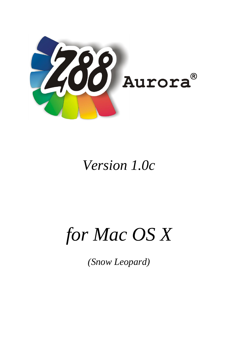

# *Version 1.0c*

# *for Mac OS X*

*(Snow Leopard)*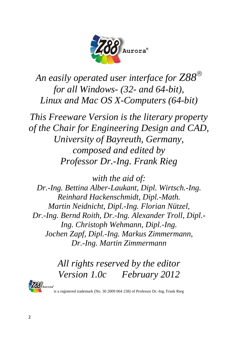

*An easily operated user interface for Z88 for all Windows- (32- and 64-bit), Linux and Mac OS X-Computers (64-bit)*

*This Freeware Version is the literary property of the Chair for Engineering Design and CAD, University of Bayreuth, Germany, composed and edited by Professor Dr.-Ing. Frank Rieg*

*with the aid of: Dr.-Ing. Bettina Alber-Laukant, Dipl. Wirtsch.-Ing. Reinhard Hackenschmidt, Dipl.-Math. Martin Neidnicht, Dipl.-Ing. Florian Nützel, Dr.-Ing. Bernd Roith, Dr.-Ing. Alexander Troll, Dipl.- Ing. Christoph Wehmann, Dipl.-Ing. Jochen Zapf, Dipl.-Ing. Markus Zimmermann, Dr.-Ing. Martin Zimmermann*

> *All rights reserved by the editor Version 1.0c February 2012*



is a registered trademark (No. 30 2009 064 238) of Professor Dr.-Ing. Frank Rieg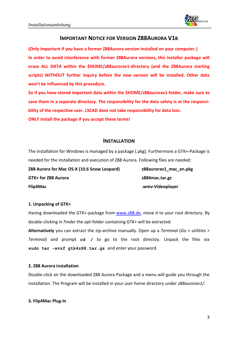

# **IMPORTANT NOTICE FOR VERSION Z88AURORA V1B**

**(Only important if you have a former Z88Aurora version installed on your computer.) In order to avoid interference with former Z88Aurora versions, this installer package will erase ALL DATA within the \$HOME/z88aurorav1-directory (and the Z88Aurora starting scripts) WITHOUT further inquiry before the new version will be installed. Other data won't be influenced by this procedure.**

**So if you have stored important data within the \$HOME/z88aurorav1-folder, make sure to save them in a separate directory. The responsibility for the data safety is at the responsibility of the respective user. LSCAD does not take responsibility for data loss.**

**ONLY install the package if you accept these terms!**

# **INSTALLATION**

The installation for Windows is managed by a package (.pkg). Furthermore a GTK+-Package is needed for the installation and execution of Z88 Aurora. Following files are needed:

**Z88 Aurora for Mac OS-X (10.6 Snow Leopard) z88aurorav1\_mac\_en.pkg GTK+ for Z88 Aurora z884mac.tar.gz Flip4Mac .wmv-Videoplayer**

## **1. Unpacking of GTK+**

Having downloaded the GTK+-package from [www.z88.de,](http://www.z88.de/) move it to your root directory. By double-clicking in *Finder* the *opt*-folder containing GTK+ will be extracted.

**Alternatively** you can extract the zip-archive manually. Open up a *Terminal* (*Go > utilities > Terminal)* and prompt **cd /** to go to the root directoy. Unpack the files via **sudo tar -xvzf gtk4z88.tar.gz** and enter your password.

## **2. Z88 Aurora installation**

Double-click on the downloaded Z88 Aurora Package and a menu will guide you through the installation. The Program will be installed in your user home directory under *z88aurorav1/*.

## **3. Flip4Mac Plug-In**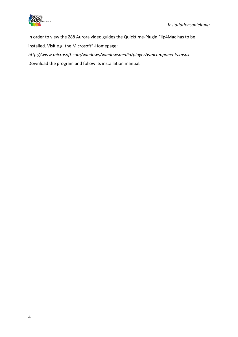

In order to view the Z88 Aurora video guides the Quicktime-Plugin Flip4Mac has to be

installed. Visit e.g. the Microsoft®-Homepage:

*http://www.microsoft.com/windows/windowsmedia/player/wmcomponents.mspx*

Download the program and follow its installation manual.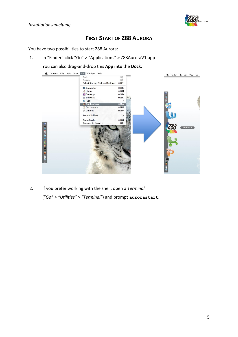

# **FIRST START OF Z88 AURORA**

You have two possibilities to start Z88 Aurora:

1. In "Finder" click "Go" > "Applications" > Z88AuroraV1.app

You can also drag-and-drop this **App into** the **Dock.**



2. If you prefer working with the shell, open a *Terminal* ("*Go" > "Utilities" > "Terminal"*) and prompt **aurorastart**.

5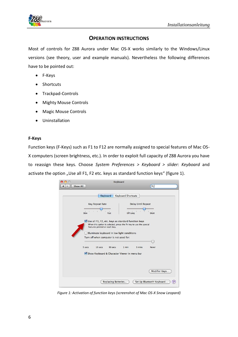

# **OPERATION INSTRUCTIONS**

Most of controls for Z88 Aurora under Mac OS-X works similarly to the Windows/Linux versions (see theory, user and example manuals). Nevertheless the following differences have to be pointed out:

- F-Keys
- Shortcuts
- Trackpad-Controls
- Mighty Mouse Controls
- Magic Mouse Controls
- Uninstallation

# **F-Keys**

Function keys (F-Keys) such as F1 to F12 are normally assigned to special features of Mac OS-X computers (screen brightness, etc.). In order to exploit full capacity of Z88 Aurora you have to reassign these keys. Choose *System Preferences > Keyboard > slider: Keyboard* and activate the option "Use all F1, F2 etc. keys as standard function keys" (figure 1).



*Figure 1: Activation of function keys (screenshot of Mac OS-X Snow Leopard)*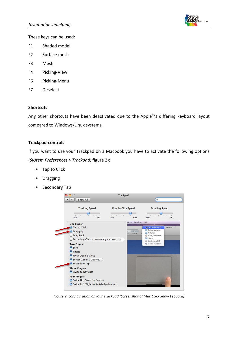

These keys can be used:

- F1 Shaded model
- F2 Surface mesh
- F3 Mesh
- F4 Picking-View
- F6 Picking-Menu
- F7 Deselect

## **Shortcuts**

Any other shortcuts have been deactivated due to the Apple®'s differing keyboard layout compared to Windows/Linux systems.

# **Trackpad-controls**

If you want to use your Trackpad on a Macbook you have to activate the following options (*System Preferences > Trackpad;* figure 2):

- Tap to Click
- Dragging
- Secondary Tap



*Figure 2: configuration of your Trackpad (Screenshot of Mac OS-X Snow Leopard)*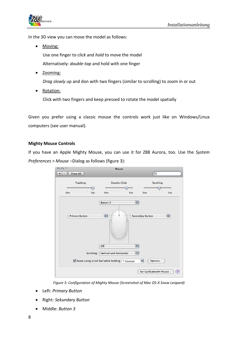

In the 3D view you can move the model as follows:

• Moving:

Use one finger to *click* and *hold* to move the model Alternatively: *double-tap* and hold with one finger

• Zooming:

*Drag slowly* up and don with two fingers (similar to scrolling) to zoom in or out

• Rotation:

Click with two fingers and keep pressed to rotate the model spatially

Given you prefer using a classic mouse the controls work just like on Windows/Linux computers (see user manual).

# **Mighty Mouse Controls**

If you have an Apple Mighty Mouse, you can use it for Z88 Aurora, too. Use the *System Preferences > Mouse* –Dialog as follows (figure 3):

|                                          | Mouse                                            |                                                        |
|------------------------------------------|--------------------------------------------------|--------------------------------------------------------|
| Show All                                 |                                                  | $\alpha$                                               |
| Tracking                                 | Double-Click                                     | Scrolling                                              |
| 1 1 1 1 1 1 1<br>$1 - 1$<br>Slow<br>Fast | Slow<br>Fast                                     | $\frac{1}{2}$<br>$\mathcal{A}$<br>$\mathbf{1}$<br>Fast |
|                                          | <b>Button 3</b>                                  | $\div$                                                 |
| <b>Primary Button</b>                    | $\Rightarrow$                                    | <b>Secondary Button</b>                                |
|                                          | á                                                |                                                        |
|                                          | Off                                              | $\div$                                                 |
| Scrolling:                               | Vertical and Horizontal                          | $\div$                                                 |
|                                          | ■ Zoom using scroll ball while holding ^ Control | Options<br>$\overline{\mathbf{v}}$                     |
|                                          |                                                  | Set Up Bluetooth Mouse<br>$\left( 2\right)$            |

*Figure 3: Configuration of Mighty Mouse (Screenshot of Mac OS-X Snow Leopard)*

- Left: *Primary Button*
- Right: *Sekundary Button*
- Middle: *Button 3*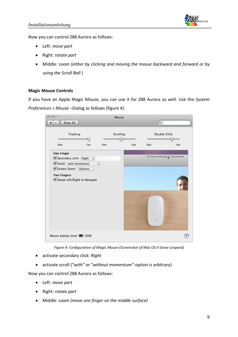

Now you can control Z88 Aurora as follows:

- Left: *move part*
- Right: *rotate part*
- Middle: z*oom (either by clicking and moving the mouse backward and forward or by using the Scroll Ball )*

## **Magic Mouse Controls**

If you have an Apple Magic Mouse, you can use it for Z88 Aurora as well. Use the *System Preferences > Mouse* –Dialog as follows (figure 4):



*Figure 4: Configuration of Magic Mouse (Screenshot of Mac OS-X Snow Leopard)*

- activate secondary click: *Right*
- activate scroll ("*with"* or "*without momentum"*-option is arbitrary)

Now you can control Z88 Aurora as follows:

- Left: *move part*
- Right: *rotate part*
- Middle: z*oom (move one finger on the middle surface)*